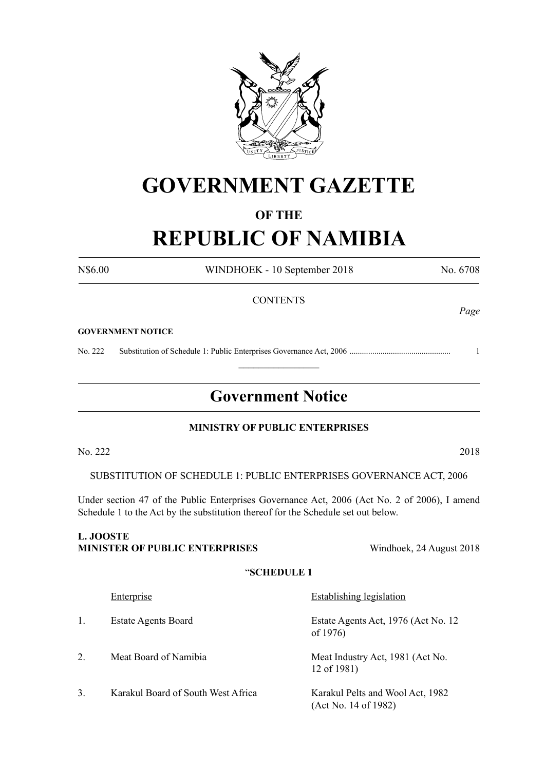

## **GOVERNMENT GAZETTE**

## **OF THE**

## **REPUBLIC OF NAMIBIA**

N\$6.00 WINDHOEK - 10 September 2018 No. 6708

**CONTENTS** *Page* **GOVERNMENT NOTICE** No. 222 Substitution of Schedule 1: Public Enterprises Governance Act, 2006 ................................................. 1  $\frac{1}{2}$ **Government Notice MINISTRY OF PUBLIC ENTERPRISES**  $\text{No. } 222$  2018 SUBSTITUTION OF SCHEDULE 1: PUBLIC ENTERPRISES GOVERNANCE ACT, 2006 Under section 47 of the Public Enterprises Governance Act, 2006 (Act No. 2 of 2006), I amend Schedule 1 to the Act by the substitution thereof for the Schedule set out below. **L. JOOSTE MINISTER OF PUBLIC ENTERPRISES** Windhoek, 24 August 2018 "**SCHEDULE 1** Enterprise Establishing legislation 1. Estate Agents Board Estate Agents Act, 1976 (Act No. 12 of 1976) 2. Meat Board of Namibia Meat Industry Act, 1981 (Act No. 12 of 1981) 3. Karakul Board of South West Africa Karakul Pelts and Wool Act, 1982 (Act No. 14 of 1982)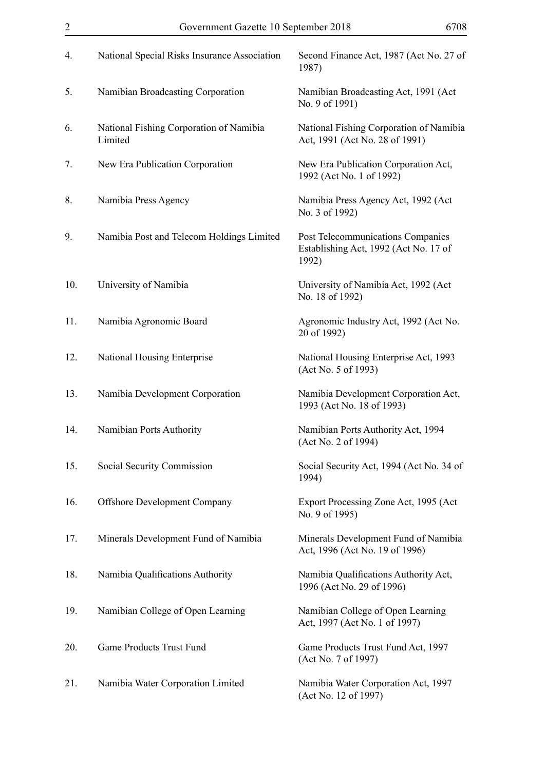| 2   | Government Gazette 10 September 2018               | 6708                                                                                |
|-----|----------------------------------------------------|-------------------------------------------------------------------------------------|
| 4.  | National Special Risks Insurance Association       | Second Finance Act, 1987 (Act No. 27 of<br>1987)                                    |
| 5.  | Namibian Broadcasting Corporation                  | Namibian Broadcasting Act, 1991 (Act)<br>No. 9 of 1991)                             |
| 6.  | National Fishing Corporation of Namibia<br>Limited | National Fishing Corporation of Namibia<br>Act, 1991 (Act No. 28 of 1991)           |
| 7.  | New Era Publication Corporation                    | New Era Publication Corporation Act,<br>1992 (Act No. 1 of 1992)                    |
| 8.  | Namibia Press Agency                               | Namibia Press Agency Act, 1992 (Act<br>No. 3 of 1992)                               |
| 9.  | Namibia Post and Telecom Holdings Limited          | Post Telecommunications Companies<br>Establishing Act, 1992 (Act No. 17 of<br>1992) |
| 10. | University of Namibia                              | University of Namibia Act, 1992 (Act<br>No. 18 of 1992)                             |
| 11. | Namibia Agronomic Board                            | Agronomic Industry Act, 1992 (Act No.<br>20 of 1992)                                |
| 12. | National Housing Enterprise                        | National Housing Enterprise Act, 1993<br>(Act No. 5 of 1993)                        |
| 13. | Namibia Development Corporation                    | Namibia Development Corporation Act,<br>1993 (Act No. 18 of 1993)                   |
| 14. | Namibian Ports Authority                           | Namibian Ports Authority Act, 1994<br>(Act No. 2 of 1994)                           |
| 15. | Social Security Commission                         | Social Security Act, 1994 (Act No. 34 of<br>1994)                                   |
| 16. | <b>Offshore Development Company</b>                | Export Processing Zone Act, 1995 (Act<br>No. 9 of 1995)                             |
| 17. | Minerals Development Fund of Namibia               | Minerals Development Fund of Namibia<br>Act, 1996 (Act No. 19 of 1996)              |
| 18. | Namibia Qualifications Authority                   | Namibia Qualifications Authority Act,<br>1996 (Act No. 29 of 1996)                  |
| 19. | Namibian College of Open Learning                  | Namibian College of Open Learning<br>Act, 1997 (Act No. 1 of 1997)                  |
| 20. | Game Products Trust Fund                           | Game Products Trust Fund Act, 1997<br>(Act No. 7 of 1997)                           |
| 21. | Namibia Water Corporation Limited                  | Namibia Water Corporation Act, 1997<br>(Act No. 12 of 1997)                         |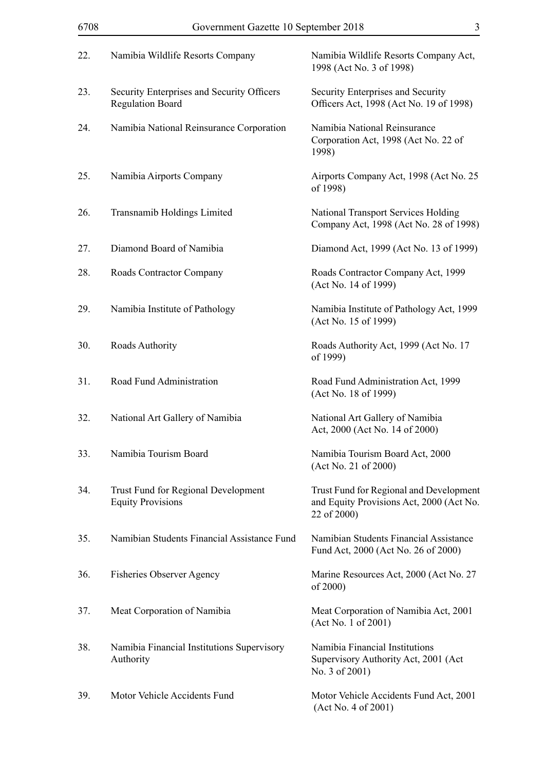| 6708 | Government Gazette 10 September 2018                                  | 3                                                                                                  |
|------|-----------------------------------------------------------------------|----------------------------------------------------------------------------------------------------|
| 22.  | Namibia Wildlife Resorts Company                                      | Namibia Wildlife Resorts Company Act,<br>1998 (Act No. 3 of 1998)                                  |
| 23.  | Security Enterprises and Security Officers<br><b>Regulation Board</b> | Security Enterprises and Security<br>Officers Act, 1998 (Act No. 19 of 1998)                       |
| 24.  | Namibia National Reinsurance Corporation                              | Namibia National Reinsurance<br>Corporation Act, 1998 (Act No. 22 of<br>1998)                      |
| 25.  | Namibia Airports Company                                              | Airports Company Act, 1998 (Act No. 25)<br>of 1998)                                                |
| 26.  | Transnamib Holdings Limited                                           | National Transport Services Holding<br>Company Act, 1998 (Act No. 28 of 1998)                      |
| 27.  | Diamond Board of Namibia                                              | Diamond Act, 1999 (Act No. 13 of 1999)                                                             |
| 28.  | Roads Contractor Company                                              | Roads Contractor Company Act, 1999<br>(Act No. 14 of 1999)                                         |
| 29.  | Namibia Institute of Pathology                                        | Namibia Institute of Pathology Act, 1999<br>(Act No. 15 of 1999)                                   |
| 30.  | Roads Authority                                                       | Roads Authority Act, 1999 (Act No. 17)<br>of 1999)                                                 |
| 31.  | Road Fund Administration                                              | Road Fund Administration Act, 1999<br>(Act No. 18 of 1999)                                         |
| 32.  | National Art Gallery of Namibia                                       | National Art Gallery of Namibia<br>Act, 2000 (Act No. 14 of 2000)                                  |
| 33.  | Namibia Tourism Board                                                 | Namibia Tourism Board Act, 2000<br>(Act No. 21 of 2000)                                            |
| 34.  | Trust Fund for Regional Development<br><b>Equity Provisions</b>       | Trust Fund for Regional and Development<br>and Equity Provisions Act, 2000 (Act No.<br>22 of 2000) |
| 35.  | Namibian Students Financial Assistance Fund                           | Namibian Students Financial Assistance<br>Fund Act, 2000 (Act No. 26 of 2000)                      |
| 36.  | <b>Fisheries Observer Agency</b>                                      | Marine Resources Act, 2000 (Act No. 27)<br>of 2000)                                                |
| 37.  | Meat Corporation of Namibia                                           | Meat Corporation of Namibia Act, 2001<br>(Act No. 1 of 2001)                                       |
| 38.  | Namibia Financial Institutions Supervisory<br>Authority               | Namibia Financial Institutions<br>Supervisory Authority Act, 2001 (Act<br>No. 3 of 2001)           |
| 39.  | Motor Vehicle Accidents Fund                                          | Motor Vehicle Accidents Fund Act, 2001<br>(Act No. 4 of 2001)                                      |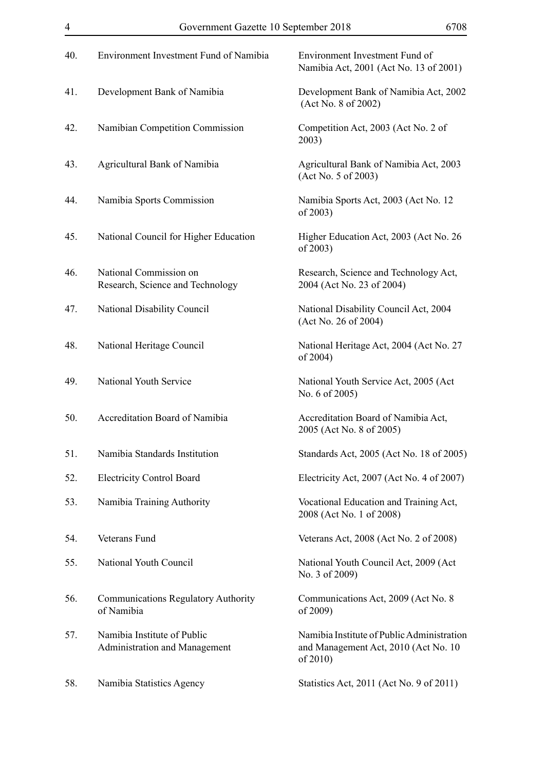| 40. | Environment Investment Fund of Namibia                       | Environment Investment Fund of<br>Namibia Act, 2001 (Act No. 13 of 2001)                           |
|-----|--------------------------------------------------------------|----------------------------------------------------------------------------------------------------|
| 41. | Development Bank of Namibia                                  | Development Bank of Namibia Act, 2002<br>(Act No. 8 of 2002)                                       |
| 42. | Namibian Competition Commission                              | Competition Act, 2003 (Act No. 2 of<br>2003)                                                       |
| 43. | Agricultural Bank of Namibia                                 | Agricultural Bank of Namibia Act, 2003<br>(Act No. 5 of 2003)                                      |
| 44. | Namibia Sports Commission                                    | Namibia Sports Act, 2003 (Act No. 12<br>of 2003)                                                   |
| 45. | National Council for Higher Education                        | Higher Education Act, 2003 (Act No. 26)<br>of 2003)                                                |
| 46. | National Commission on<br>Research, Science and Technology   | Research, Science and Technology Act,<br>2004 (Act No. 23 of 2004)                                 |
| 47. | National Disability Council                                  | National Disability Council Act, 2004<br>(Act No. 26 of 2004)                                      |
| 48. | National Heritage Council                                    | National Heritage Act, 2004 (Act No. 27)<br>of 2004)                                               |
| 49. | National Youth Service                                       | National Youth Service Act, 2005 (Act<br>No. 6 of 2005)                                            |
| 50. | Accreditation Board of Namibia                               | Accreditation Board of Namibia Act,<br>2005 (Act No. 8 of 2005)                                    |
| 51. | Namibia Standards Institution                                | Standards Act, 2005 (Act No. 18 of 2005)                                                           |
| 52. | <b>Electricity Control Board</b>                             | Electricity Act, 2007 (Act No. 4 of 2007)                                                          |
| 53. | Namibia Training Authority                                   | Vocational Education and Training Act,<br>2008 (Act No. 1 of 2008)                                 |
| 54. | Veterans Fund                                                | Veterans Act, 2008 (Act No. 2 of 2008)                                                             |
| 55. | National Youth Council                                       | National Youth Council Act, 2009 (Act<br>No. 3 of 2009)                                            |
| 56. | <b>Communications Regulatory Authority</b><br>of Namibia     | Communications Act, 2009 (Act No. 8)<br>of 2009)                                                   |
| 57. | Namibia Institute of Public<br>Administration and Management | Namibia Institute of Public Administration<br>and Management Act, 2010 (Act No. 10)<br>of $2010$ ) |
| 58. | Namibia Statistics Agency                                    | Statistics Act, 2011 (Act No. 9 of 2011)                                                           |